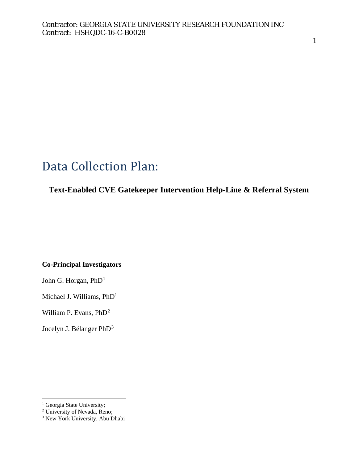# Data Collection Plan:

# **Text-Enabled CVE Gatekeeper Intervention Help-Line & Referral System**

#### **Co-Principal Investigators**

John G. Horgan, PhD<sup>1</sup>

Michael J. Williams, PhD<sup>1</sup>

William P. Evans, PhD<sup>[2](#page-0-0)</sup>

Jocelyn J. Bélanger PhD[3](#page-0-1)

 $\overline{a}$ <sup>1</sup> Georgia State University;<br><sup>2</sup> University of Nevada, Reno;

<span id="page-0-1"></span><span id="page-0-0"></span><sup>&</sup>lt;sup>3</sup> New York University, Abu Dhabi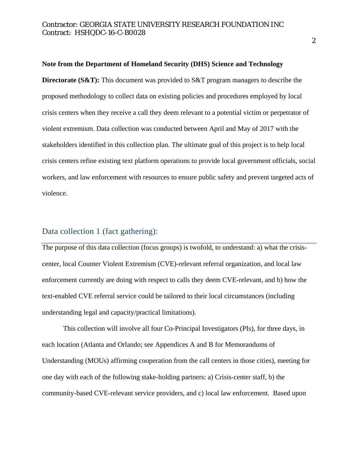#### **Note from the Department of Homeland Security (DHS) Science and Technology**

**Directorate (S&T):** This document was provided to S&T program managers to describe the proposed methodology to collect data on existing policies and procedures employed by local crisis centers when they receive a call they deem relevant to a potential victim or perpetrator of violent extremism. Data collection was conducted between April and May of 2017 with the stakeholders identified in this collection plan. The ultimate goal of this project is to help local crisis centers refine existing text platform operations to provide local government officials, social workers, and law enforcement with resources to ensure public safety and prevent targeted acts of violence.

## Data collection 1 (fact gathering):

The purpose of this data collection (focus groups) is twofold, to understand: a) what the crisiscenter, local Counter Violent Extremism (CVE)-relevant referral organization, and local law enforcement currently are doing with respect to calls they deem CVE-relevant, and b) how the text-enabled CVE referral service could be tailored to their local circumstances (including understanding legal and capacity/practical limitations).

This collection will involve all four Co-Principal Investigators (PIs), for three days, in each location (Atlanta and Orlando; see Appendices A and B for Memorandums of Understanding (MOUs) affirming cooperation from the call centers in those cities), meeting for one day with each of the following stake-holding partners: a) Crisis-center staff, b) the community-based CVE-relevant service providers, and c) local law enforcement. Based upon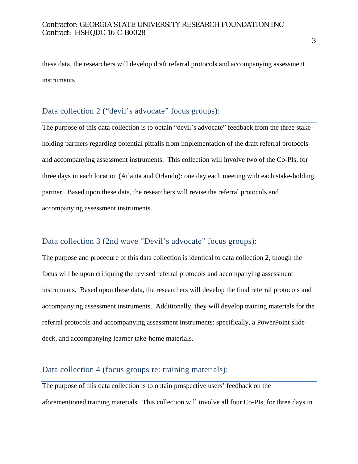these data, the researchers will develop draft referral protocols and accompanying assessment instruments.

### Data collection 2 ("devil's advocate" focus groups):

The purpose of this data collection is to obtain "devil's advocate" feedback from the three stakeholding partners regarding potential pitfalls from implementation of the draft referral protocols and accompanying assessment instruments. This collection will involve two of the Co-PIs, for three days in each location (Atlanta and Orlando): one day each meeting with each stake-holding partner. Based upon these data, the researchers will revise the referral protocols and accompanying assessment instruments.

# Data collection 3 (2nd wave "Devil's advocate" focus groups):

The purpose and procedure of this data collection is identical to data collection 2, though the focus will be upon critiquing the revised referral protocols and accompanying assessment instruments. Based upon these data, the researchers will develop the final referral protocols and accompanying assessment instruments. Additionally, they will develop training materials for the referral protocols and accompanying assessment instruments: specifically, a PowerPoint slide deck, and accompanying learner take-home materials.

#### Data collection 4 (focus groups re: training materials):

The purpose of this data collection is to obtain prospective users' feedback on the aforementioned training materials. This collection will involve all four Co-PIs, for three days in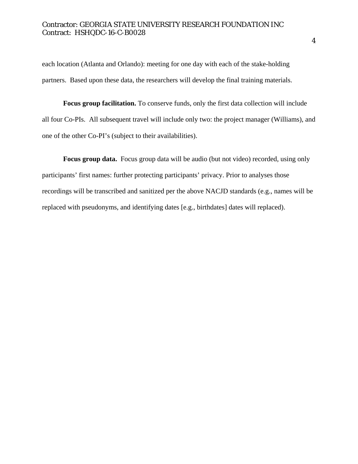#### Contractor: GEORGIA STATE UNIVERSITY RESEARCH FOUNDATION INC Contract: HSHQDC-16-C-B0028

each location (Atlanta and Orlando): meeting for one day with each of the stake-holding partners. Based upon these data, the researchers will develop the final training materials.

**Focus group facilitation.** To conserve funds, only the first data collection will include all four Co-PIs. All subsequent travel will include only two: the project manager (Williams), and one of the other Co-PI's (subject to their availabilities).

**Focus group data.** Focus group data will be audio (but not video) recorded, using only participants' first names: further protecting participants' privacy. Prior to analyses those recordings will be transcribed and sanitized per the above NACJD standards (e.g., names will be replaced with pseudonyms, and identifying dates [e.g., birthdates] dates will replaced).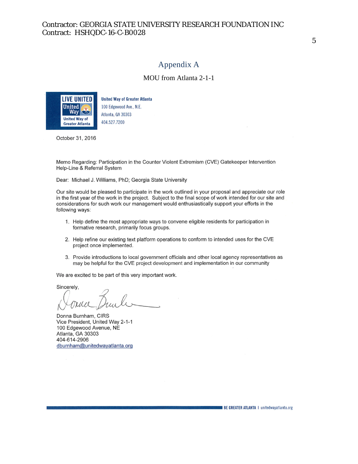## Appendix A

MOU from Atlanta 2-1-1



United Way of Greater Atlanta 100 Edgewood Ave., N.E. Atlanta, GA 30303 404.527.7200

October 31, 2016

Memo Regarding: Participation in the Counter Violent Extremism (CVE) Gatekeeper Intervention Help-Line & Referral System

Dear: Michael J. Williams, PhD; Georgia State University

Our site would be pleased to participate in the work outlined in your proposal and appreciate our role in the first year of the work in the project. Subject to the final scope of work intended for our site and considerations for such work our management would enthusiastically support your efforts in the following ways:

- 1. Help define the most appropriate ways to convene eligible residents for participation in formative research, primarily focus groups.
- 2. Help refine our existing text platform operations to conform to intended uses for the CVE project once implemented.
- 3. Provide introductions to local government officials and other local agency representatives as may be helpful for the CVE project development and implementation in our community

We are excited to be part of this very important work.

Sincerely,

Donna Burnham, CIRS Vice President, United Way 2-1-1 100 Edgewood Avenue, NE Atlanta, GA 30303 404-614-2906 [dburnham@unitedwayatlanta.org](mailto:dburnham@untiedwayatlanta.org)